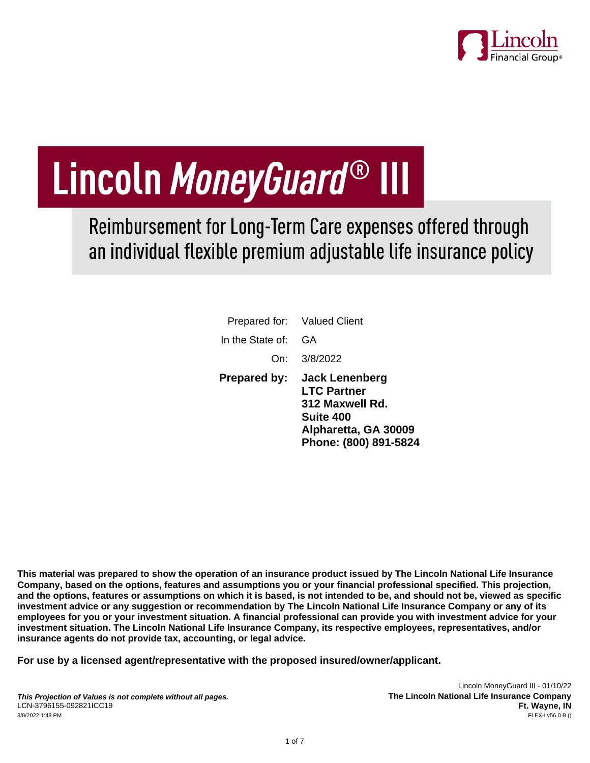

# Lincoln MoneyGuard® III

Reimbursement for Long-Term Care expenses offered through an individual flexible premium adjustable life insurance policy

|                     | Prepared for: Valued Client                                                                                                         |
|---------------------|-------------------------------------------------------------------------------------------------------------------------------------|
| In the State of:    | GA                                                                                                                                  |
|                     | On: 3/8/2022                                                                                                                        |
| <b>Prepared by:</b> | <b>Jack Lenenberg</b><br><b>LTC Partner</b><br>312 Maxwell Rd.<br><b>Suite 400</b><br>Alpharetta, GA 30009<br>Phone: (800) 891-5824 |

**This material was prepared to show the operation of an insurance product issued by The Lincoln National Life Insurance Company, based on the options, features and assumptions you or your financial professional specified. This projection, and the options, features or assumptions on which it is based, is not intended to be, and should not be, viewed as specific investment advice or any suggestion or recommendation by The Lincoln National Life Insurance Company or any of its employees for you or your investment situation. A financial professional can provide you with investment advice for your investment situation. The Lincoln National Life Insurance Company, its respective employees, representatives, and/or insurance agents do not provide tax, accounting, or legal advice.**

**For use by a licensed agent/representative with the proposed insured/owner/applicant.**

Lincoln MoneyGuard III - 01/10/22 **The Lincoln National Life Insurance Company Ft. Wayne, IN**<br>FLEX-I v56.0 B ()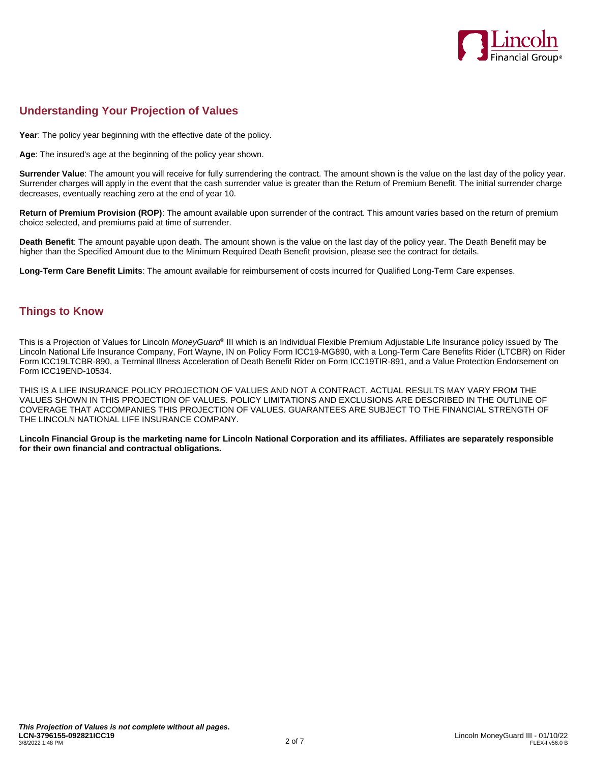

## **Understanding Your Projection of Values**

**Year**: The policy year beginning with the effective date of the policy.

**Age**: The insured's age at the beginning of the policy year shown.

**Surrender Value**: The amount you will receive for fully surrendering the contract. The amount shown is the value on the last day of the policy year. Surrender charges will apply in the event that the cash surrender value is greater than the Return of Premium Benefit. The initial surrender charge decreases, eventually reaching zero at the end of year 10.

**Return of Premium Provision (ROP)**: The amount available upon surrender of the contract. This amount varies based on the return of premium choice selected, and premiums paid at time of surrender.

**Death Benefit**: The amount payable upon death. The amount shown is the value on the last day of the policy year. The Death Benefit may be higher than the Specified Amount due to the Minimum Required Death Benefit provision, please see the contract for details.

**Long-Term Care Benefit Limits**: The amount available for reimbursement of costs incurred for Qualified Long-Term Care expenses.

## **Things to Know**

This is a Projection of Values for Lincoln *MoneyGuard*® III which is an Individual Flexible Premium Adjustable Life Insurance policy issued by The Lincoln National Life Insurance Company, Fort Wayne, IN on Policy Form ICC19-MG890, with a Long-Term Care Benefits Rider (LTCBR) on Rider Form ICC19LTCBR-890, a Terminal Illness Acceleration of Death Benefit Rider on Form ICC19TIR-891, and a Value Protection Endorsement on Form ICC19END-10534.

THIS IS A LIFE INSURANCE POLICY PROJECTION OF VALUES AND NOT A CONTRACT. ACTUAL RESULTS MAY VARY FROM THE VALUES SHOWN IN THIS PROJECTION OF VALUES. POLICY LIMITATIONS AND EXCLUSIONS ARE DESCRIBED IN THE OUTLINE OF COVERAGE THAT ACCOMPANIES THIS PROJECTION OF VALUES. GUARANTEES ARE SUBJECT TO THE FINANCIAL STRENGTH OF THE LINCOLN NATIONAL LIFE INSURANCE COMPANY.

**Lincoln Financial Group is the marketing name for Lincoln National Corporation and its affiliates. Affiliates are separately responsible for their own financial and contractual obligations.**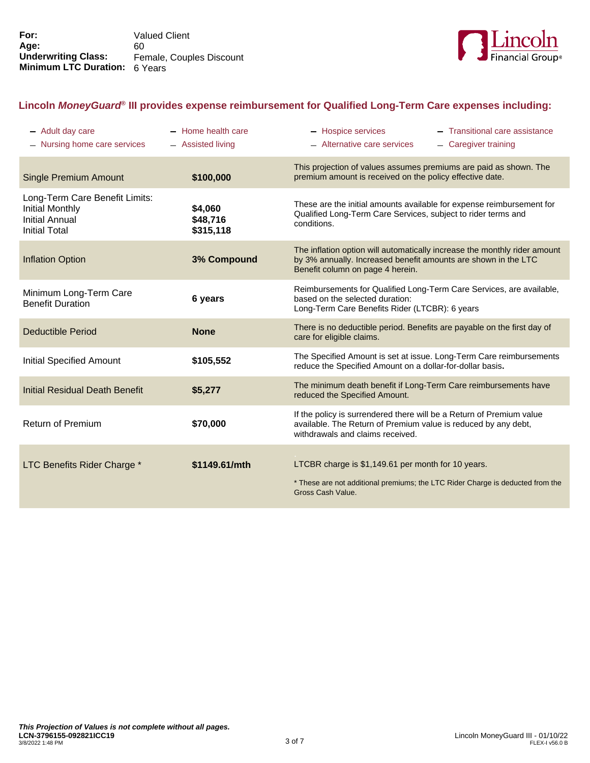

## **Lincoln** *MoneyGuard***® III provides expense reimbursement for Qualified Long-Term Care expenses including:**

| - Adult day care<br>Nursing home care services                                                     | - Home health care<br>- Assisted living | - Hospice services<br>- Transitional care assistance<br>- Alternative care services<br>- Caregiver training                                                                     |
|----------------------------------------------------------------------------------------------------|-----------------------------------------|---------------------------------------------------------------------------------------------------------------------------------------------------------------------------------|
| <b>Single Premium Amount</b>                                                                       | \$100,000                               | This projection of values assumes premiums are paid as shown. The<br>premium amount is received on the policy effective date.                                                   |
| Long-Term Care Benefit Limits:<br>Initial Monthly<br><b>Initial Annual</b><br><b>Initial Total</b> | \$4,060<br>\$48,716<br>\$315,118        | These are the initial amounts available for expense reimbursement for<br>Qualified Long-Term Care Services, subject to rider terms and<br>conditions.                           |
| <b>Inflation Option</b>                                                                            | 3% Compound                             | The inflation option will automatically increase the monthly rider amount<br>by 3% annually. Increased benefit amounts are shown in the LTC<br>Benefit column on page 4 herein. |
| Minimum Long-Term Care<br><b>Benefit Duration</b>                                                  | 6 years                                 | Reimbursements for Qualified Long-Term Care Services, are available,<br>based on the selected duration:<br>Long-Term Care Benefits Rider (LTCBR): 6 years                       |
| Deductible Period                                                                                  | <b>None</b>                             | There is no deductible period. Benefits are payable on the first day of<br>care for eligible claims.                                                                            |
| <b>Initial Specified Amount</b>                                                                    | \$105,552                               | The Specified Amount is set at issue. Long-Term Care reimbursements<br>reduce the Specified Amount on a dollar-for-dollar basis.                                                |
| <b>Initial Residual Death Benefit</b>                                                              | \$5,277                                 | The minimum death benefit if Long-Term Care reimbursements have<br>reduced the Specified Amount.                                                                                |
| <b>Return of Premium</b>                                                                           | \$70,000                                | If the policy is surrendered there will be a Return of Premium value<br>available. The Return of Premium value is reduced by any debt,<br>withdrawals and claims received.      |
| LTC Benefits Rider Charge *                                                                        | \$1149.61/mth                           | LTCBR charge is \$1,149.61 per month for 10 years.<br>* These are not additional premiums; the LTC Rider Charge is deducted from the<br>Gross Cash Value.                       |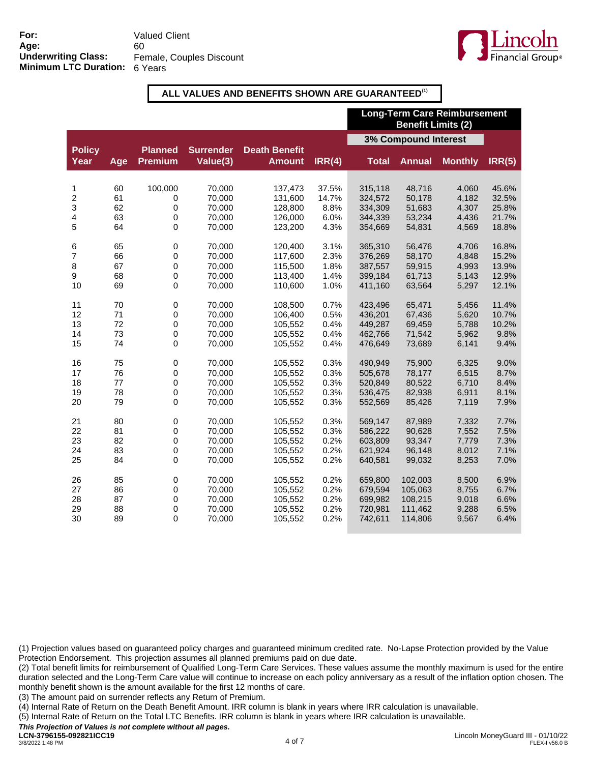

#### **ALL VALUES AND BENEFITS SHOWN ARE GUARANTEED(1)**

|                       |     |                                  |                              |                                       |        | <b>Long-Term Care Reimbursement</b><br><b>Benefit Limits (2)</b> |               |                |        |
|-----------------------|-----|----------------------------------|------------------------------|---------------------------------------|--------|------------------------------------------------------------------|---------------|----------------|--------|
|                       |     |                                  |                              |                                       |        | 3% Compound Interest                                             |               |                |        |
| <b>Policy</b><br>Year | Age | <b>Planned</b><br><b>Premium</b> | <b>Surrender</b><br>Value(3) | <b>Death Benefit</b><br><b>Amount</b> | IRR(4) | <b>Total</b>                                                     | <b>Annual</b> | <b>Monthly</b> | IRR(5) |
| 1                     | 60  | 100,000                          | 70,000                       | 137,473                               | 37.5%  | 315,118                                                          | 48,716        | 4,060          | 45.6%  |
| 2                     | 61  | $\pmb{0}$                        | 70,000                       | 131,600                               | 14.7%  | 324,572                                                          | 50,178        | 4,182          | 32.5%  |
| 3                     | 62  | $\pmb{0}$                        | 70,000                       | 128,800                               | 8.8%   | 334,309                                                          | 51,683        | 4,307          | 25.8%  |
| 4                     | 63  | 0                                | 70.000                       | 126,000                               | 6.0%   | 344,339                                                          | 53,234        | 4,436          | 21.7%  |
| 5                     | 64  | $\mathbf 0$                      | 70,000                       | 123,200                               | 4.3%   | 354,669                                                          | 54,831        | 4,569          | 18.8%  |
| 6                     | 65  | $\pmb{0}$                        | 70,000                       | 120,400                               | 3.1%   | 365,310                                                          | 56,476        | 4,706          | 16.8%  |
| 7                     | 66  | 0                                | 70,000                       | 117,600                               | 2.3%   | 376,269                                                          | 58,170        | 4,848          | 15.2%  |
| 8                     | 67  | $\mathbf 0$                      | 70,000                       | 115,500                               | 1.8%   | 387,557                                                          | 59,915        | 4,993          | 13.9%  |
| 9                     | 68  | 0                                | 70,000                       | 113,400                               | 1.4%   | 399,184                                                          | 61,713        | 5,143          | 12.9%  |
| 10                    | 69  | 0                                | 70,000                       | 110,600                               | 1.0%   | 411,160                                                          | 63,564        | 5,297          | 12.1%  |
| 11                    | 70  | $\pmb{0}$                        | 70,000                       | 108,500                               | 0.7%   | 423,496                                                          | 65,471        | 5,456          | 11.4%  |
| 12                    | 71  | 0                                | 70,000                       | 106,400                               | 0.5%   | 436,201                                                          | 67,436        | 5,620          | 10.7%  |
| 13                    | 72  | $\pmb{0}$                        | 70,000                       | 105,552                               | 0.4%   | 449,287                                                          | 69,459        | 5,788          | 10.2%  |
| 14                    | 73  | 0                                | 70,000                       | 105,552                               | 0.4%   | 462,766                                                          | 71,542        | 5,962          | 9.8%   |
| 15                    | 74  | $\mathsf 0$                      | 70,000                       | 105,552                               | 0.4%   | 476,649                                                          | 73,689        | 6,141          | 9.4%   |
| 16                    | 75  | 0                                | 70,000                       | 105,552                               | 0.3%   | 490,949                                                          | 75,900        | 6,325          | 9.0%   |
| 17                    | 76  | 0                                | 70,000                       | 105,552                               | 0.3%   | 505,678                                                          | 78,177        | 6,515          | 8.7%   |
| 18                    | 77  | 0                                | 70,000                       | 105,552                               | 0.3%   | 520,849                                                          | 80,522        | 6,710          | 8.4%   |
| 19                    | 78  | $\mathbf 0$                      | 70,000                       | 105,552                               | 0.3%   | 536,475                                                          | 82,938        | 6,911          | 8.1%   |
| 20                    | 79  | $\mathbf 0$                      | 70,000                       | 105,552                               | 0.3%   | 552,569                                                          | 85,426        | 7,119          | 7.9%   |
| 21                    | 80  | $\pmb{0}$                        | 70,000                       | 105,552                               | 0.3%   | 569,147                                                          | 87,989        | 7,332          | 7.7%   |
| 22                    | 81  | $\pmb{0}$                        | 70.000                       | 105,552                               | 0.3%   | 586.222                                                          | 90.628        | 7,552          | 7.5%   |
| 23                    | 82  | $\pmb{0}$                        | 70,000                       | 105,552                               | 0.2%   | 603,809                                                          | 93,347        | 7,779          | 7.3%   |
| 24                    | 83  | $\mathbf 0$                      | 70,000                       | 105,552                               | 0.2%   | 621,924                                                          | 96,148        | 8,012          | 7.1%   |
| 25                    | 84  | 0                                | 70,000                       | 105,552                               | 0.2%   | 640,581                                                          | 99,032        | 8,253          | 7.0%   |
| 26                    | 85  | $\pmb{0}$                        | 70,000                       | 105,552                               | 0.2%   | 659,800                                                          | 102,003       | 8,500          | 6.9%   |
| 27                    | 86  | 0                                | 70,000                       | 105,552                               | 0.2%   | 679,594                                                          | 105,063       | 8,755          | 6.7%   |
| 28                    | 87  | $\pmb{0}$                        | 70,000                       | 105,552                               | 0.2%   | 699,982                                                          | 108,215       | 9,018          | 6.6%   |
| 29                    | 88  | $\boldsymbol{0}$                 | 70,000                       | 105,552                               | 0.2%   | 720,981                                                          | 111,462       | 9,288          | 6.5%   |
| 30                    | 89  | $\Omega$                         | 70,000                       | 105,552                               | 0.2%   | 742,611                                                          | 114,806       | 9,567          | 6.4%   |

(1) Projection values based on guaranteed policy charges and guaranteed minimum credited rate. No-Lapse Protection provided by the Value Protection Endorsement. This projection assumes all planned premiums paid on due date.

(2) Total benefit limits for reimbursement of Qualified Long-Term Care Services. These values assume the monthly maximum is used for the entire duration selected and the Long-Term Care value will continue to increase on each policy anniversary as a result of the inflation option chosen. The monthly benefit shown is the amount available for the first 12 months of care.

(3) The amount paid on surrender reflects any Return of Premium.

(4) Internal Rate of Return on the Death Benefit Amount. IRR column is blank in years where IRR calculation is unavailable.

(5) Internal Rate of Return on the Total LTC Benefits. IRR column is blank in years where IRR calculation is unavailable.

*This Projection of Values is not complete without all pages.*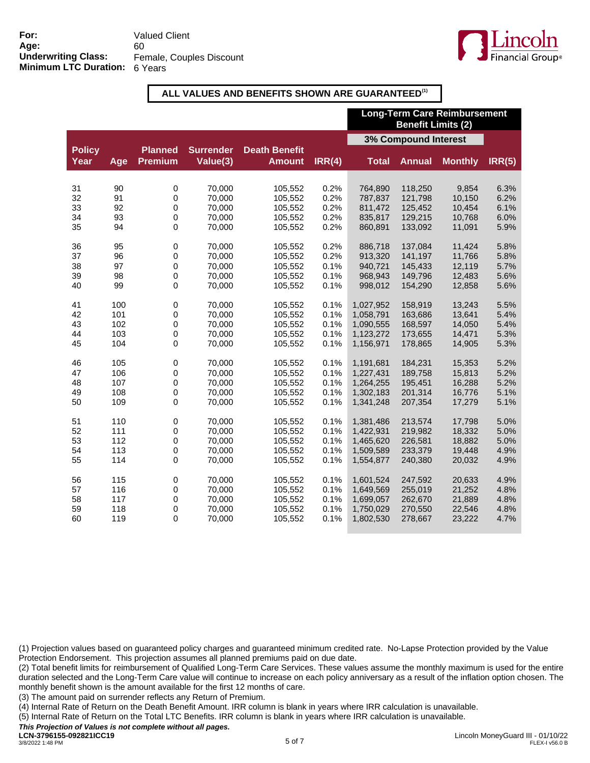

#### **ALL VALUES AND BENEFITS SHOWN ARE GUARANTEED(1)**

|                       |     |                                  |                              |                                       |        | <b>Long-Term Care Reimbursement</b><br><b>Benefit Limits (2)</b> |               |                |        |
|-----------------------|-----|----------------------------------|------------------------------|---------------------------------------|--------|------------------------------------------------------------------|---------------|----------------|--------|
|                       |     |                                  |                              |                                       |        | 3% Compound Interest                                             |               |                |        |
| <b>Policy</b><br>Year | Age | <b>Planned</b><br><b>Premium</b> | <b>Surrender</b><br>Value(3) | <b>Death Benefit</b><br><b>Amount</b> | IRR(4) | <b>Total</b>                                                     | <b>Annual</b> | <b>Monthly</b> | IRR(5) |
| 31                    | 90  | 0                                | 70,000                       | 105,552                               | 0.2%   | 764,890                                                          | 118,250       | 9,854          | 6.3%   |
| 32                    | 91  | $\pmb{0}$                        | 70,000                       | 105,552                               | 0.2%   | 787,837                                                          | 121,798       | 10,150         | 6.2%   |
| 33                    | 92  | 0                                | 70,000                       | 105,552                               | 0.2%   | 811,472                                                          | 125,452       | 10,454         | 6.1%   |
| 34                    | 93  | 0                                | 70.000                       | 105,552                               | 0.2%   | 835,817                                                          | 129.215       | 10.768         | 6.0%   |
| 35                    | 94  | $\mathbf 0$                      | 70,000                       | 105,552                               | 0.2%   | 860,891                                                          | 133,092       | 11,091         | 5.9%   |
| 36                    | 95  | $\pmb{0}$                        | 70,000                       | 105,552                               | 0.2%   | 886,718                                                          | 137,084       | 11,424         | 5.8%   |
| 37                    | 96  | $\mathbf 0$                      | 70,000                       | 105,552                               | 0.2%   | 913,320                                                          | 141,197       | 11,766         | 5.8%   |
| 38                    | 97  | $\mathbf 0$                      | 70,000                       | 105,552                               | 0.1%   | 940,721                                                          | 145,433       | 12,119         | 5.7%   |
| 39                    | 98  | 0                                | 70,000                       | 105,552                               | 0.1%   | 968,943                                                          | 149,796       | 12,483         | 5.6%   |
| 40                    | 99  | 0                                | 70,000                       | 105,552                               | 0.1%   | 998,012                                                          | 154,290       | 12,858         | 5.6%   |
| 41                    | 100 | $\pmb{0}$                        | 70.000                       | 105.552                               | 0.1%   | 1,027,952                                                        | 158.919       | 13.243         | 5.5%   |
| 42                    | 101 | $\mathbf 0$                      | 70,000                       | 105,552                               | 0.1%   | 1,058,791                                                        | 163,686       | 13,641         | 5.4%   |
| 43                    | 102 | $\mathbf 0$                      | 70,000                       | 105,552                               | 0.1%   | 1,090,555                                                        | 168,597       | 14,050         | 5.4%   |
| 44                    | 103 | $\mathbf 0$                      | 70,000                       | 105,552                               | 0.1%   | 1,123,272                                                        | 173,655       | 14,471         | 5.3%   |
| 45                    | 104 | 0                                | 70,000                       | 105,552                               | 0.1%   | 1,156,971                                                        | 178,865       | 14,905         | 5.3%   |
| 46                    | 105 | $\pmb{0}$                        | 70,000                       | 105,552                               | 0.1%   | 1,191,681                                                        | 184,231       | 15,353         | 5.2%   |
| 47                    | 106 | 0                                | 70,000                       | 105,552                               | 0.1%   | 1,227,431                                                        | 189,758       | 15,813         | 5.2%   |
| 48                    | 107 | $\mathbf 0$                      | 70.000                       | 105,552                               | 0.1%   | 1,264,255                                                        | 195,451       | 16,288         | 5.2%   |
| 49                    | 108 | $\mathbf 0$                      | 70,000                       | 105,552                               | 0.1%   | 1,302,183                                                        | 201,314       | 16,776         | 5.1%   |
| 50                    | 109 | 0                                | 70,000                       | 105,552                               | 0.1%   | 1,341,248                                                        | 207,354       | 17,279         | 5.1%   |
| 51                    | 110 | 0                                | 70,000                       | 105,552                               | 0.1%   | 1,381,486                                                        | 213,574       | 17,798         | 5.0%   |
| 52                    | 111 | 0                                | 70,000                       | 105,552                               | 0.1%   | 1,422,931                                                        | 219,982       | 18,332         | 5.0%   |
| 53                    | 112 | 0                                | 70,000                       | 105,552                               | 0.1%   | 1,465,620                                                        | 226,581       | 18,882         | 5.0%   |
| 54                    | 113 | $\mathbf 0$                      | 70,000                       | 105,552                               | 0.1%   | 1,509,589                                                        | 233,379       | 19,448         | 4.9%   |
| 55                    | 114 | $\mathbf 0$                      | 70,000                       | 105,552                               | 0.1%   | 1,554,877                                                        | 240,380       | 20,032         | 4.9%   |
| 56                    | 115 | $\pmb{0}$                        | 70,000                       | 105,552                               | 0.1%   | 1,601,524                                                        | 247,592       | 20,633         | 4.9%   |
| 57                    | 116 | $\mathbf 0$                      | 70,000                       | 105,552                               | 0.1%   | 1,649,569                                                        | 255,019       | 21,252         | 4.8%   |
| 58                    | 117 | $\mathbf 0$                      | 70,000                       | 105,552                               | 0.1%   | 1,699,057                                                        | 262,670       | 21,889         | 4.8%   |
| 59                    | 118 | 0                                | 70,000                       | 105,552                               | 0.1%   | 1,750,029                                                        | 270,550       | 22,546         | 4.8%   |
| 60                    | 119 | $\Omega$                         | 70,000                       | 105,552                               | 0.1%   | 1,802,530                                                        | 278,667       | 23,222         | 4.7%   |

(1) Projection values based on guaranteed policy charges and guaranteed minimum credited rate. No-Lapse Protection provided by the Value Protection Endorsement. This projection assumes all planned premiums paid on due date.

(2) Total benefit limits for reimbursement of Qualified Long-Term Care Services. These values assume the monthly maximum is used for the entire duration selected and the Long-Term Care value will continue to increase on each policy anniversary as a result of the inflation option chosen. The monthly benefit shown is the amount available for the first 12 months of care.

(3) The amount paid on surrender reflects any Return of Premium.

(4) Internal Rate of Return on the Death Benefit Amount. IRR column is blank in years where IRR calculation is unavailable.

(5) Internal Rate of Return on the Total LTC Benefits. IRR column is blank in years where IRR calculation is unavailable.

*This Projection of Values is not complete without all pages.*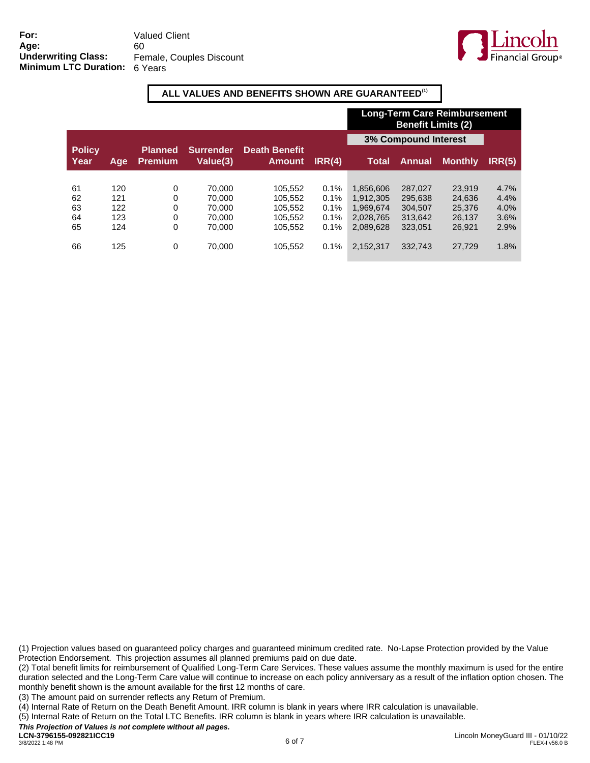

#### **ALL VALUES AND BENEFITS SHOWN ARE GUARANTEED(1)**

|                       |     |                                  |                              |                                       |         | <b>Long-Term Care Reimbursement</b><br><b>Benefit Limits (2)</b> |               |                |        |
|-----------------------|-----|----------------------------------|------------------------------|---------------------------------------|---------|------------------------------------------------------------------|---------------|----------------|--------|
|                       |     |                                  |                              |                                       |         | <b>3% Compound Interest</b>                                      |               |                |        |
| <b>Policy</b><br>Year | Age | <b>Planned</b><br><b>Premium</b> | <b>Surrender</b><br>Value(3) | <b>Death Benefit</b><br><b>Amount</b> | IRR(4)  | Total                                                            | <b>Annual</b> | <b>Monthly</b> | IRR(5) |
|                       |     |                                  |                              |                                       |         |                                                                  |               |                |        |
| 61                    | 120 | 0                                | 70.000                       | 105.552                               | 0.1%    | 1.856.606                                                        | 287.027       | 23.919         | 4.7%   |
| 62                    | 121 | 0                                | 70.000                       | 105.552                               | 0.1%    | 1.912.305                                                        | 295.638       | 24.636         | 4.4%   |
| 63                    | 122 | 0                                | 70.000                       | 105.552                               | $0.1\%$ | 1.969.674                                                        | 304.507       | 25,376         | 4.0%   |
| 64                    | 123 | 0                                | 70.000                       | 105,552                               | 0.1%    | 2.028.765                                                        | 313.642       | 26.137         | 3.6%   |
| 65                    | 124 | 0                                | 70.000                       | 105.552                               | 0.1%    | 2.089.628                                                        | 323.051       | 26.921         | 2.9%   |
| 66                    | 125 | 0                                | 70.000                       | 105.552                               | 0.1%    | 2,152,317                                                        | 332.743       | 27.729         | 1.8%   |

(1) Projection values based on guaranteed policy charges and guaranteed minimum credited rate. No-Lapse Protection provided by the Value Protection Endorsement. This projection assumes all planned premiums paid on due date.

(2) Total benefit limits for reimbursement of Qualified Long-Term Care Services. These values assume the monthly maximum is used for the entire duration selected and the Long-Term Care value will continue to increase on each policy anniversary as a result of the inflation option chosen. The monthly benefit shown is the amount available for the first 12 months of care.

(3) The amount paid on surrender reflects any Return of Premium.

(4) Internal Rate of Return on the Death Benefit Amount. IRR column is blank in years where IRR calculation is unavailable.

(5) Internal Rate of Return on the Total LTC Benefits. IRR column is blank in years where IRR calculation is unavailable.

*This Projection of Values is not complete without all pages.*